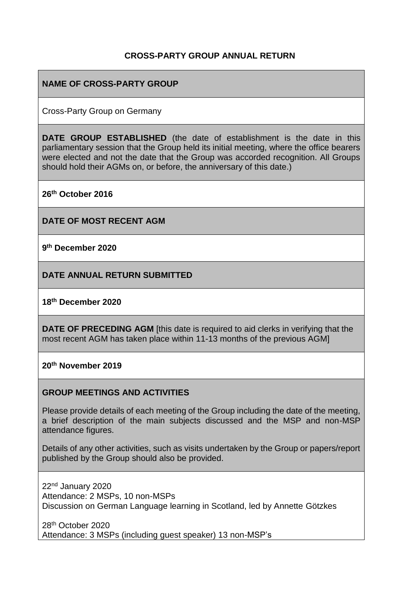#### **CROSS-PARTY GROUP ANNUAL RETURN**

#### **NAME OF CROSS-PARTY GROUP**

Cross-Party Group on Germany

**DATE GROUP ESTABLISHED** (the date of establishment is the date in this parliamentary session that the Group held its initial meeting, where the office bearers were elected and not the date that the Group was accorded recognition. All Groups should hold their AGMs on, or before, the anniversary of this date.)

**26th October 2016**

**DATE OF MOST RECENT AGM**

**9 th December 2020**

**DATE ANNUAL RETURN SUBMITTED**

#### **18 th December 2020**

**DATE OF PRECEDING AGM** [this date is required to aid clerks in verifying that the most recent AGM has taken place within 11-13 months of the previous AGM]

**20th November 2019**

#### **GROUP MEETINGS AND ACTIVITIES**

Please provide details of each meeting of the Group including the date of the meeting, a brief description of the main subjects discussed and the MSP and non-MSP attendance figures.

Details of any other activities, such as visits undertaken by the Group or papers/report published by the Group should also be provided.

22nd January 2020 Attendance: 2 MSPs, 10 non-MSPs Discussion on German Language learning in Scotland, led by Annette Götzkes

28th October 2020 Attendance: 3 MSPs (including guest speaker) 13 non-MSP's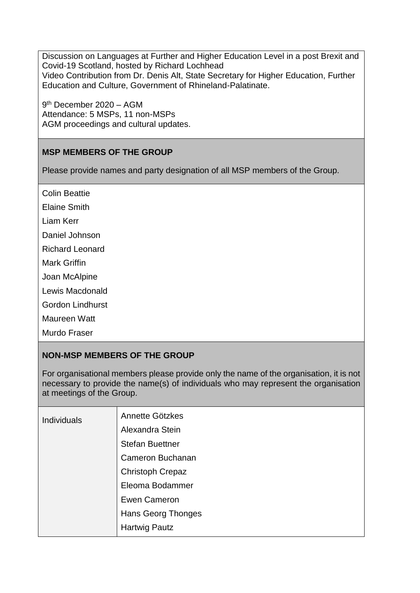Discussion on Languages at Further and Higher Education Level in a post Brexit and Covid-19 Scotland, hosted by Richard Lochhead Video Contribution from Dr. Denis Alt, State Secretary for Higher Education, Further Education and Culture, Government of Rhineland-Palatinate.

9<sup>th</sup> December 2020 - AGM Attendance: 5 MSPs, 11 non-MSPs AGM proceedings and cultural updates.

# **MSP MEMBERS OF THE GROUP**

Please provide names and party designation of all MSP members of the Group.

Colin Beattie

Elaine Smith

Liam Kerr

Daniel Johnson

Richard Leonard

Mark Griffin

Joan McAlpine

Lewis Macdonald

Gordon Lindhurst

Maureen Watt

Murdo Fraser

### **NON-MSP MEMBERS OF THE GROUP**

For organisational members please provide only the name of the organisation, it is not necessary to provide the name(s) of individuals who may represent the organisation at meetings of the Group.

| <b>Individuals</b> | Annette Götzkes         |
|--------------------|-------------------------|
|                    | Alexandra Stein         |
|                    | <b>Stefan Buettner</b>  |
|                    | Cameron Buchanan        |
|                    | <b>Christoph Crepaz</b> |
|                    | Eleoma Bodammer         |
|                    | Ewen Cameron            |
|                    | Hans Georg Thonges      |
|                    | <b>Hartwig Pautz</b>    |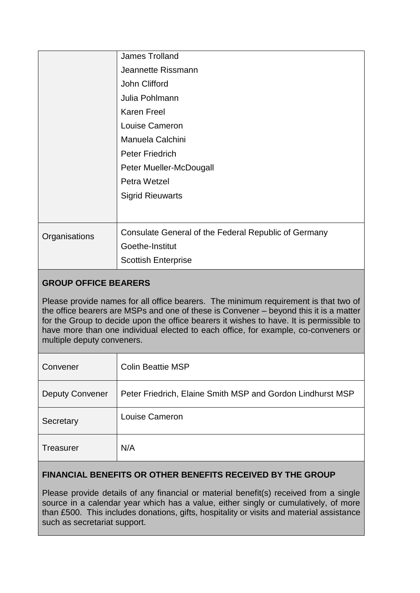|               | <b>James Trolland</b>                                |
|---------------|------------------------------------------------------|
|               | Jeannette Rissmann                                   |
|               | John Clifford                                        |
|               | Julia Pohlmann                                       |
|               | <b>Karen Freel</b>                                   |
|               | Louise Cameron                                       |
|               | Manuela Calchini                                     |
|               | <b>Peter Friedrich</b>                               |
|               | Peter Mueller-McDougall                              |
|               | Petra Wetzel                                         |
|               | <b>Sigrid Rieuwarts</b>                              |
|               |                                                      |
|               |                                                      |
| Organisations | Consulate General of the Federal Republic of Germany |
|               | Goethe-Institut                                      |
|               | <b>Scottish Enterprise</b>                           |
|               |                                                      |

# **GROUP OFFICE BEARERS**

Please provide names for all office bearers. The minimum requirement is that two of the office bearers are MSPs and one of these is Convener – beyond this it is a matter for the Group to decide upon the office bearers it wishes to have. It is permissible to have more than one individual elected to each office, for example, co-conveners or multiple deputy conveners.

| Convener               | <b>Colin Beattie MSP</b>                                   |
|------------------------|------------------------------------------------------------|
| <b>Deputy Convener</b> | Peter Friedrich, Elaine Smith MSP and Gordon Lindhurst MSP |
| Secretary              | Louise Cameron                                             |
| <b>Treasurer</b>       | N/A                                                        |

### **FINANCIAL BENEFITS OR OTHER BENEFITS RECEIVED BY THE GROUP**

Please provide details of any financial or material benefit(s) received from a single source in a calendar year which has a value, either singly or cumulatively, of more than £500. This includes donations, gifts, hospitality or visits and material assistance such as secretariat support.